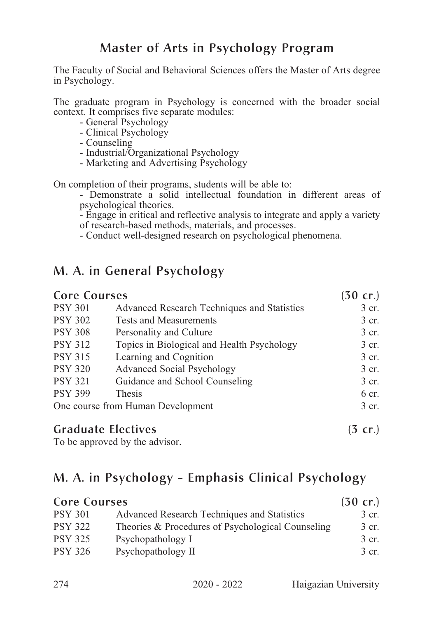The Faculty of Social and Behavioral Sciences offers the Master of Arts degree in Psychology.

The graduate program in Psychology is concerned with the broader social context. It comprises five separate modules:

- 
- 
- 
- General Psychology<br>- Clinical Psychology<br>- Counseling<br>- Industrial/Organizational Psychology<br>- Marketing and Advertising Psychology
- 

On completion of their programs, students will be able to:<br>- Demonstrate a solid intellectual foundation in different areas of psychological theories.

- Engage in critical and reflective analysis to integrate and apply a variety of research-based methods, materials, and processes.

- Conduct well-designed research on psychological phenomena.

#### M. A. in General Psychology

| <b>Core Courses</b>               |                                             | $(30 \text{ cr.})$ |
|-----------------------------------|---------------------------------------------|--------------------|
| <b>PSY 301</b>                    | Advanced Research Techniques and Statistics | 3 cr.              |
| <b>PSY 302</b>                    | <b>Tests and Measurements</b>               | 3 cr.              |
| <b>PSY 308</b>                    | Personality and Culture                     | 3 cr.              |
| <b>PSY 312</b>                    | Topics in Biological and Health Psychology  | 3 cr.              |
| <b>PSY 315</b>                    | Learning and Cognition                      | 3 cr.              |
| <b>PSY 320</b>                    | <b>Advanced Social Psychology</b>           | 3 cr.              |
| <b>PSY 321</b>                    | Guidance and School Counseling              | 3 cr.              |
| <b>PSY 399</b>                    | <b>Thesis</b>                               | 6 cr.              |
| One course from Human Development |                                             | 3 cr.              |
|                                   |                                             |                    |

#### Graduate Electives (3 cr.)

To be approved by the advisor.

### M. A. in Psychology - Emphasis Clinical Psychology

| <b>Core Courses</b> |                                                   | $(30 \text{ cr.})$ |
|---------------------|---------------------------------------------------|--------------------|
| <b>PSY 301</b>      | Advanced Research Techniques and Statistics       | 3 cr.              |
| <b>PSY 322</b>      | Theories & Procedures of Psychological Counseling | 3 cr.              |
| <b>PSY 325</b>      | Psychopathology I                                 | 3 cr.              |
| <b>PSY 326</b>      | Psychopathology II                                | 3 cr.              |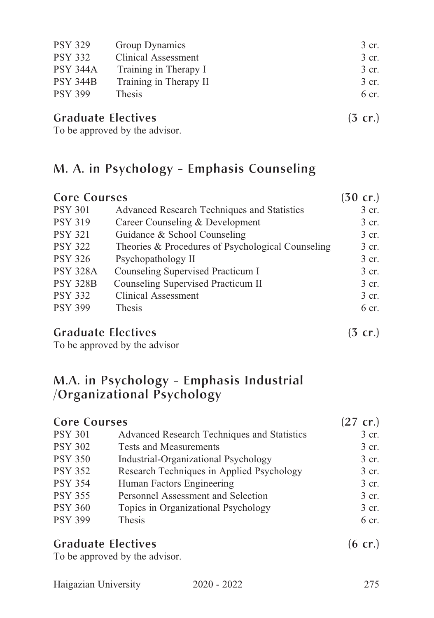| <b>PSY 329</b>  | Group Dynamics             | 3 cr. |
|-----------------|----------------------------|-------|
| <b>PSY 332</b>  | <b>Clinical Assessment</b> | 3 cr. |
| <b>PSY 344A</b> | Training in Therapy I      | 3 cr. |
| <b>PSY 344B</b> | Training in Therapy II     | 3 cr. |
| <b>PSY 399</b>  | Thesis                     | 6 cr. |
| $\sim$ 1        | .                          |       |

#### Graduate Electives (3 cr.)

To be approved by the advisor.

## M. A. in Psychology - Emphasis Counseling

| <b>Core Courses</b> |                                                   | $(30 \text{ cr.})$ |
|---------------------|---------------------------------------------------|--------------------|
| <b>PSY 301</b>      | Advanced Research Techniques and Statistics       | 3 cr.              |
| <b>PSY 319</b>      | Career Counseling & Development                   | 3 cr.              |
| <b>PSY 321</b>      | Guidance & School Counseling                      | 3 cr.              |
| <b>PSY 322</b>      | Theories & Procedures of Psychological Counseling | 3 cr.              |
| <b>PSY 326</b>      | Psychopathology II                                | 3 cr.              |
| <b>PSY 328A</b>     | Counseling Supervised Practicum I                 | 3 cr.              |
| <b>PSY 328B</b>     | Counseling Supervised Practicum II                | 3 cr.              |
| <b>PSY 332</b>      | <b>Clinical Assessment</b>                        | 3 cr.              |
| <b>PSY 399</b>      | <b>Thesis</b>                                     | 6 cr.              |
|                     |                                                   |                    |

#### Graduate Electives (3 cr.)

To be approved by the advisor

## M.A. in Psychology - Emphasis Industrial /Organizational Psychology

| <b>Core Courses</b> |                                             | $(27 \text{ cr.})$ |
|---------------------|---------------------------------------------|--------------------|
| <b>PSY 301</b>      | Advanced Research Techniques and Statistics | 3 cr.              |
| <b>PSY 302</b>      | <b>Tests and Measurements</b>               | 3 cr.              |
| <b>PSY 350</b>      | Industrial-Organizational Psychology        | 3 cr.              |
| <b>PSY 352</b>      | Research Techniques in Applied Psychology   | 3 cr.              |
| <b>PSY 354</b>      | Human Factors Engineering                   | 3 cr.              |
| <b>PSY 355</b>      | Personnel Assessment and Selection          | 3 cr.              |
| <b>PSY 360</b>      | Topics in Organizational Psychology         | 3 cr.              |
| <b>PSY 399</b>      | Thesis                                      | 6 cr.              |

| <b>Graduate Electives</b>               | $(6$ cr.) |
|-----------------------------------------|-----------|
| тр. 1. <i>.</i> 1 1. . <i>. .</i> 1. 1. |           |

To be approved by the advisor.

|  | Haigazian University | $2020 - 2022$ | 275 |
|--|----------------------|---------------|-----|
|--|----------------------|---------------|-----|